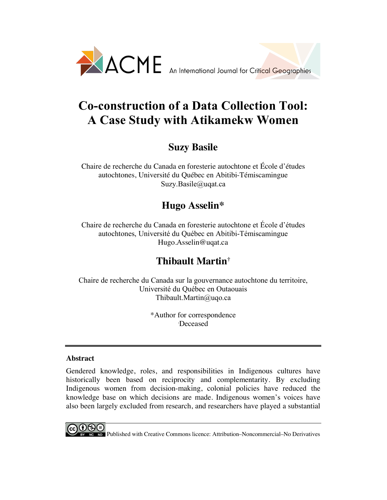

# **Co-construction of a Data Collection Tool: A Case Study with Atikamekw Women**

## **Suzy Basile**

Chaire de recherche du Canada en foresterie autochtone et École d'études autochtones, Université du Québec en Abitibi-Témiscamingue Suzy.Basile@uqat.ca

# **Hugo Asselin\***

Chaire de recherche du Canada en foresterie autochtone et École d'études autochtones, Université du Québec en Abitibi-Témiscamingue Hugo.Asselin@uqat.ca

### **Thibault Martin†**

Chaire de recherche du Canada sur la gouvernance autochtone du territoire, Université du Québec en Outaouais Thibault.Martin@uqo.ca

> \*Author for correspondence † Deceased

### **Abstract**

Gendered knowledge, roles, and responsibilities in Indigenous cultures have historically been based on reciprocity and complementarity. By excluding Indigenous women from decision-making, colonial policies have reduced the knowledge base on which decisions are made. Indigenous women's voices have also been largely excluded from research, and researchers have played a substantial



Published with Creative Commons licence: Attribution–Noncommercial–No Derivatives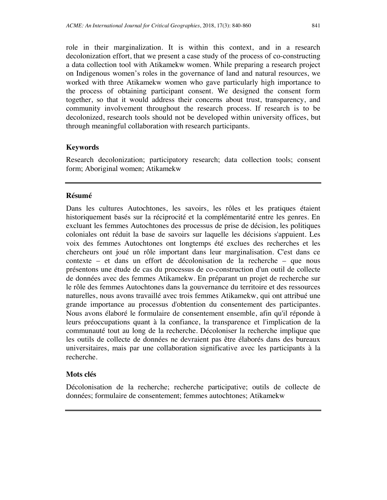role in their marginalization. It is within this context, and in a research decolonization effort, that we present a case study of the process of co-constructing a data collection tool with Atikamekw women. While preparing a research project on Indigenous women's roles in the governance of land and natural resources, we worked with three Atikamekw women who gave particularly high importance to the process of obtaining participant consent. We designed the consent form together, so that it would address their concerns about trust, transparency, and community involvement throughout the research process. If research is to be decolonized, research tools should not be developed within university offices, but through meaningful collaboration with research participants.

#### **Keywords**

Research decolonization; participatory research; data collection tools; consent form; Aboriginal women; Atikamekw

#### **Résumé**

Dans les cultures Autochtones, les savoirs, les rôles et les pratiques étaient historiquement basés sur la réciprocité et la complémentarité entre les genres. En excluant les femmes Autochtones des processus de prise de décision, les politiques coloniales ont réduit la base de savoirs sur laquelle les décisions s'appuient. Les voix des femmes Autochtones ont longtemps été exclues des recherches et les chercheurs ont joué un rôle important dans leur marginalisation. C'est dans ce contexte – et dans un effort de décolonisation de la recherche – que nous présentons une étude de cas du processus de co-construction d'un outil de collecte de données avec des femmes Atikamekw. En préparant un projet de recherche sur le rôle des femmes Autochtones dans la gouvernance du territoire et des ressources naturelles, nous avons travaillé avec trois femmes Atikamekw, qui ont attribué une grande importance au processus d'obtention du consentement des participantes. Nous avons élaboré le formulaire de consentement ensemble, afin qu'il réponde à leurs préoccupations quant à la confiance, la transparence et l'implication de la communauté tout au long de la recherche. Décoloniser la recherche implique que les outils de collecte de données ne devraient pas être élaborés dans des bureaux universitaires, mais par une collaboration significative avec les participants à la recherche.

#### **Mots clés**

Décolonisation de la recherche; recherche participative; outils de collecte de données; formulaire de consentement; femmes autochtones; Atikamekw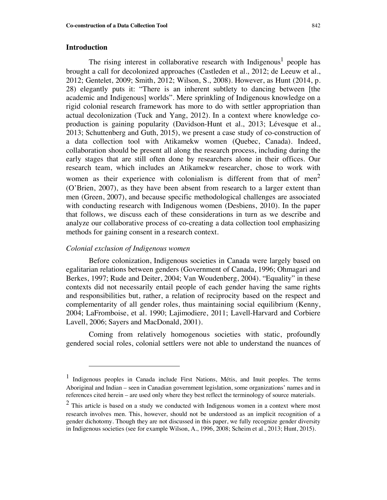#### **Introduction**

The rising interest in collaborative research with  $\text{Indigenous}^1$  people has brought a call for decolonized approaches (Castleden et al., 2012; de Leeuw et al., 2012; Gentelet, 2009; Smith, 2012; Wilson, S., 2008). However, as Hunt (2014, p. 28) elegantly puts it: "There is an inherent subtlety to dancing between [the academic and Indigenous] worlds". Mere sprinkling of Indigenous knowledge on a rigid colonial research framework has more to do with settler appropriation than actual decolonization (Tuck and Yang, 2012). In a context where knowledge coproduction is gaining popularity (Davidson-Hunt et al., 2013; Lévesque et al., 2013; Schuttenberg and Guth, 2015), we present a case study of co-construction of a data collection tool with Atikamekw women (Quebec, Canada). Indeed, collaboration should be present all along the research process, including during the early stages that are still often done by researchers alone in their offices. Our research team, which includes an Atikamekw researcher, chose to work with women as their experience with colonialism is different from that of men<sup>2</sup> (O'Brien, 2007), as they have been absent from research to a larger extent than men (Green, 2007), and because specific methodological challenges are associated with conducting research with Indigenous women (Desbiens, 2010). In the paper that follows, we discuss each of these considerations in turn as we describe and analyze our collaborative process of co-creating a data collection tool emphasizing methods for gaining consent in a research context.

#### *Colonial exclusion of Indigenous women*

 $\overline{a}$ 

Before colonization, Indigenous societies in Canada were largely based on egalitarian relations between genders (Government of Canada, 1996; Ohmagari and Berkes, 1997; Rude and Deiter, 2004; Van Woudenberg, 2004). "Equality" in these contexts did not necessarily entail people of each gender having the same rights and responsibilities but, rather, a relation of reciprocity based on the respect and complementarity of all gender roles, thus maintaining social equilibrium (Kenny, 2004; LaFromboise, et al. 1990; Lajimodiere, 2011; Lavell-Harvard and Corbiere Lavell, 2006; Sayers and MacDonald, 2001).

Coming from relatively homogenous societies with static, profoundly gendered social roles, colonial settlers were not able to understand the nuances of

<sup>1</sup> Indigenous peoples in Canada include First Nations, Métis, and Inuit peoples. The terms Aboriginal and Indian – seen in Canadian government legislation, some organizations' names and in references cited herein – are used only where they best reflect the terminology of source materials.

 $<sup>2</sup>$  This article is based on a study we conducted with Indigenous women in a context where most</sup> research involves men. This, however, should not be understood as an implicit recognition of a gender dichotomy. Though they are not discussed in this paper, we fully recognize gender diversity in Indigenous societies (see for example Wilson, A., 1996, 2008; Scheim et al., 2013; Hunt, 2015).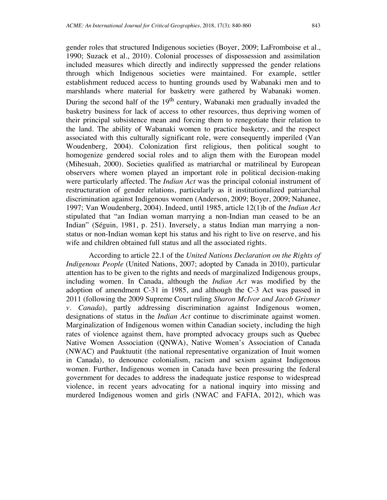gender roles that structured Indigenous societies (Boyer, 2009; LaFromboise et al., 1990; Suzack et al., 2010). Colonial processes of dispossession and assimilation included measures which directly and indirectly suppressed the gender relations through which Indigenous societies were maintained. For example, settler establishment reduced access to hunting grounds used by Wabanaki men and to marshlands where material for basketry were gathered by Wabanaki women. During the second half of the  $19<sup>th</sup>$  century, Wabanaki men gradually invaded the basketry business for lack of access to other resources, thus depriving women of their principal subsistence mean and forcing them to renegotiate their relation to the land. The ability of Wabanaki women to practice basketry, and the respect associated with this culturally significant role, were consequently imperiled (Van Woudenberg, 2004). Colonization first religious, then political sought to homogenize gendered social roles and to align them with the European model (Mihesuah, 2000). Societies qualified as matriarchal or matrilineal by European observers where women played an important role in political decision-making were particularly affected. The *Indian Act* was the principal colonial instrument of restructuration of gender relations, particularly as it institutionalized patriarchal discrimination against Indigenous women (Anderson, 2009; Boyer, 2009; Nahanee, 1997; Van Woudenberg, 2004). Indeed, until 1985, article 12(1)b of the *Indian Act* stipulated that "an Indian woman marrying a non-Indian man ceased to be an Indian" (Séguin, 1981, p. 251). Inversely, a status Indian man marrying a nonstatus or non-Indian woman kept his status and his right to live on reserve, and his wife and children obtained full status and all the associated rights.

According to article 22.1 of the *United Nations Declaration on the Rights of Indigenous People* (United Nations, 2007; adopted by Canada in 2010), particular attention has to be given to the rights and needs of marginalized Indigenous groups, including women. In Canada, although the *Indian Act* was modified by the adoption of amendment C-31 in 1985, and although the C-3 Act was passed in 2011 (following the 2009 Supreme Court ruling *Sharon McIvor and Jacob Grismer v. Canada*), partly addressing discrimination against Indigenous women, designations of status in the *Indian Act* continue to discriminate against women. Marginalization of Indigenous women within Canadian society, including the high rates of violence against them, have prompted advocacy groups such as Quebec Native Women Association (QNWA), Native Women's Association of Canada (NWAC) and Pauktuutit (the national representative organization of Inuit women in Canada), to denounce colonialism, racism and sexism against Indigenous women. Further, Indigenous women in Canada have been pressuring the federal government for decades to address the inadequate justice response to widespread violence, in recent years advocating for a national inquiry into missing and murdered Indigenous women and girls (NWAC and FAFIA, 2012), which was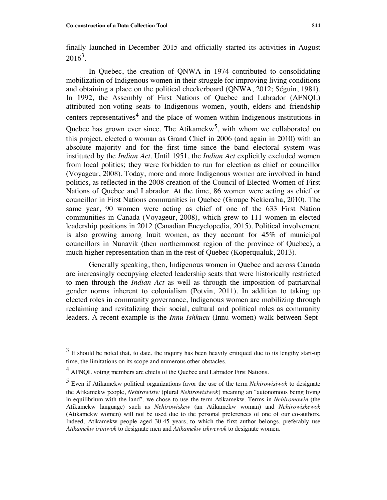finally launched in December 2015 and officially started its activities in August  $2016^3$ .

In Quebec, the creation of QNWA in 1974 contributed to consolidating mobilization of Indigenous women in their struggle for improving living conditions and obtaining a place on the political checkerboard (QNWA, 2012; Séguin, 1981). In 1992, the Assembly of First Nations of Quebec and Labrador (AFNQL) attributed non-voting seats to Indigenous women, youth, elders and friendship centers representatives<sup>4</sup> and the place of women within Indigenous institutions in Quebec has grown ever since. The Atikamek $w^5$ , with whom we collaborated on this project, elected a woman as Grand Chief in 2006 (and again in 2010) with an absolute majority and for the first time since the band electoral system was instituted by the *Indian Act*. Until 1951, the *Indian Act* explicitly excluded women from local politics; they were forbidden to run for election as chief or councillor (Voyageur, 2008). Today, more and more Indigenous women are involved in band politics, as reflected in the 2008 creation of the Council of Elected Women of First Nations of Quebec and Labrador. At the time, 86 women were acting as chief or councillor in First Nations communities in Quebec (Groupe Nekiera'ha, 2010). The same year, 90 women were acting as chief of one of the 633 First Nation communities in Canada (Voyageur, 2008), which grew to 111 women in elected leadership positions in 2012 (Canadian Encyclopedia, 2015). Political involvement is also growing among Inuit women, as they account for 45% of municipal councillors in Nunavik (then northernmost region of the province of Quebec), a much higher representation than in the rest of Quebec (Koperqualuk, 2013).

Generally speaking, then, Indigenous women in Quebec and across Canada are increasingly occupying elected leadership seats that were historically restricted to men through the *Indian Act* as well as through the imposition of patriarchal gender norms inherent to colonialism (Potvin, 2011). In addition to taking up elected roles in community governance, Indigenous women are mobilizing through reclaiming and revitalizing their social, cultural and political roles as community leaders. A recent example is the *Innu Ishkueu* (Innu women) walk between Sept-

 $\overline{a}$ 

 $3<sup>3</sup>$  It should be noted that, to date, the inquiry has been heavily critiqued due to its lengthy start-up time, the limitations on its scope and numerous other obstacles.

 $<sup>4</sup>$  AFNOL voting members are chiefs of the Quebec and Labrador First Nations.</sup>

<sup>5</sup> Even if Atikamekw political organizations favor the use of the term *Nehirowisiwok* to designate the Atikamekw people, *Nehirowisiw* (plural *Nehirowisiwok*) meaning an "autonomous being living in equilibrium with the land", we chose to use the term Atikamekw. Terms in *Nehiromowin* (the Atikamekw language) such as *Nehirowiskew* (an Atikamekw woman) and *Nehirowiskewok* (Atikamekw women) will not be used due to the personal preferences of one of our co-authors. Indeed, Atikamekw people aged 30-45 years, to which the first author belongs, preferably use *Atikamekw iriniwok* to designate men and *Atikamekw iskwewok* to designate women.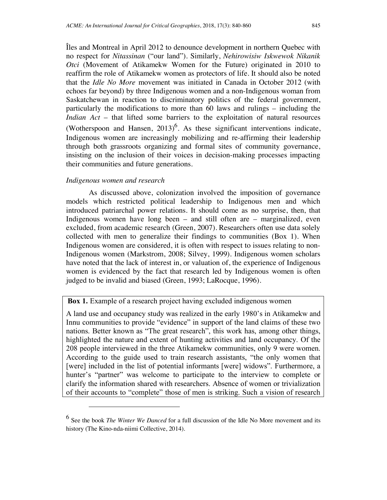Îles and Montreal in April 2012 to denounce development in northern Quebec with no respect for *Nitassinan* ("our land"). Similarly, *Nehirowisiw Iskwewok Nikanik Otci* (Movement of Atikamekw Women for the Future) originated in 2010 to reaffirm the role of Atikamekw women as protectors of life. It should also be noted that the *Idle No More* movement was initiated in Canada in October 2012 (with echoes far beyond) by three Indigenous women and a non-Indigenous woman from Saskatchewan in reaction to discriminatory politics of the federal government, particularly the modifications to more than 60 laws and rulings – including the *Indian Act* – that lifted some barriers to the exploitation of natural resources (Wotherspoon and Hansen,  $2013$ <sup>6</sup>. As these significant interventions indicate, Indigenous women are increasingly mobilizing and re-affirming their leadership through both grassroots organizing and formal sites of community governance, insisting on the inclusion of their voices in decision-making processes impacting their communities and future generations.

#### *Indigenous women and research*

l

As discussed above, colonization involved the imposition of governance models which restricted political leadership to Indigenous men and which introduced patriarchal power relations. It should come as no surprise, then, that Indigenous women have long been – and still often are – marginalized, even excluded, from academic research (Green, 2007). Researchers often use data solely collected with men to generalize their findings to communities (Box 1). When Indigenous women are considered, it is often with respect to issues relating to non-Indigenous women (Markstrom, 2008; Silvey, 1999). Indigenous women scholars have noted that the lack of interest in, or valuation of, the experience of Indigenous women is evidenced by the fact that research led by Indigenous women is often judged to be invalid and biased (Green, 1993; LaRocque, 1996).

#### **Box 1.** Example of a research project having excluded indigenous women

A land use and occupancy study was realized in the early 1980's in Atikamekw and Innu communities to provide "evidence" in support of the land claims of these two nations. Better known as "The great research", this work has, among other things, highlighted the nature and extent of hunting activities and land occupancy. Of the 208 people interviewed in the three Atikamekw communities, only 9 were women. According to the guide used to train research assistants, "the only women that [were] included in the list of potential informants [were] widows". Furthermore, a hunter's "partner" was welcome to participate to the interview to complete or clarify the information shared with researchers. Absence of women or trivialization of their accounts to "complete" those of men is striking. Such a vision of research

<sup>6</sup> See the book *The Winter We Danced* for a full discussion of the Idle No More movement and its history (The Kino-nda-niimi Collective, 2014).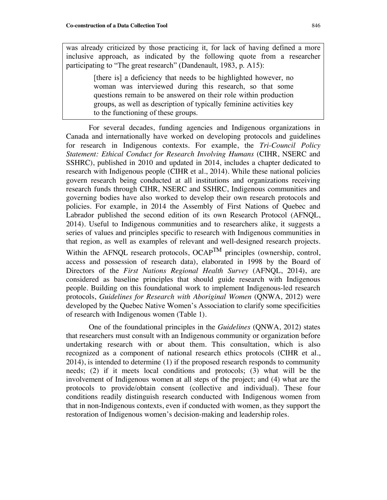was already criticized by those practicing it, for lack of having defined a more inclusive approach, as indicated by the following quote from a researcher participating to "The great research" (Dandenault, 1983, p. A15):

> [there is] a deficiency that needs to be highlighted however, no woman was interviewed during this research, so that some questions remain to be answered on their role within production groups, as well as description of typically feminine activities key to the functioning of these groups.

For several decades, funding agencies and Indigenous organizations in Canada and internationally have worked on developing protocols and guidelines for research in Indigenous contexts. For example, the *Tri-Council Policy Statement: Ethical Conduct for Research Involving Humans* (CIHR, NSERC and SSHRC), published in 2010 and updated in 2014, includes a chapter dedicated to research with Indigenous people (CIHR et al., 2014). While these national policies govern research being conducted at all institutions and organizations receiving research funds through CIHR, NSERC and SSHRC, Indigenous communities and governing bodies have also worked to develop their own research protocols and policies. For example, in 2014 the Assembly of First Nations of Quebec and Labrador published the second edition of its own Research Protocol (AFNQL, 2014). Useful to Indigenous communities and to researchers alike, it suggests a series of values and principles specific to research with Indigenous communities in that region, as well as examples of relevant and well-designed research projects. Within the AFNQL research protocols,  $OCAP^{TM}$  principles (ownership, control,

access and possession of research data), elaborated in 1998 by the Board of Directors of the *First Nations Regional Health Survey* (AFNQL, 2014), are considered as baseline principles that should guide research with Indigenous people. Building on this foundational work to implement Indigenous-led research protocols, *Guidelines for Research with Aboriginal Women* (QNWA, 2012) were developed by the Quebec Native Women's Association to clarify some specificities of research with Indigenous women (Table 1).

One of the foundational principles in the *Guidelines* (QNWA, 2012) states that researchers must consult with an Indigenous community or organization before undertaking research with or about them. This consultation, which is also recognized as a component of national research ethics protocols (CIHR et al., 2014), is intended to determine (1) if the proposed research responds to community needs; (2) if it meets local conditions and protocols; (3) what will be the involvement of Indigenous women at all steps of the project; and (4) what are the protocols to provide/obtain consent (collective and individual). These four conditions readily distinguish research conducted with Indigenous women from that in non-Indigenous contexts, even if conducted with women, as they support the restoration of Indigenous women's decision-making and leadership roles.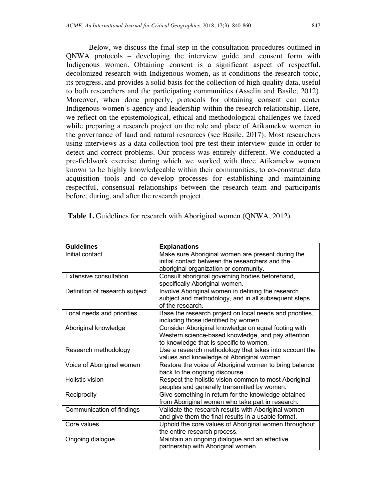Below, we discuss the final step in the consultation procedures outlined in QNWA protocols – developing the interview guide and consent form with Indigenous women. Obtaining consent is a significant aspect of respectful, decolonized research with Indigenous women, as it conditions the research topic, its progress, and provides a solid basis for the collection of high-quality data, useful to both researchers and the participating communities (Asselin and Basile, 2012). Moreover, when done properly, protocols for obtaining consent can center Indigenous women's agency and leadership within the research relationship. Here, we reflect on the epistemological, ethical and methodological challenges we faced while preparing a research project on the role and place of Atikamekw women in the governance of land and natural resources (see Basile, 2017). Most researchers using interviews as a data collection tool pre-test their interview guide in order to detect and correct problems. Our process was entirely different. We conducted a pre-fieldwork exercise during which we worked with three Atikamekw women known to be highly knowledgeable within their communities, to co-construct data acquisition tools and co-develop processes for establishing and maintaining respectful, consensual relationships between the research team and participants before, during, and after the research project.

| <b>Guidelines</b>              | <b>Explanations</b>                                      |
|--------------------------------|----------------------------------------------------------|
| Initial contact                | Make sure Aboriginal women are present during the        |
|                                | initial contact between the researchers and the          |
|                                | aboriginal organization or community.                    |
| Extensive consultation         | Consult aboriginal governing bodies beforehand,          |
|                                | specifically Aboriginal women.                           |
| Definition of research subject | Involve Aboriginal women in defining the research        |
|                                | subject and methodology, and in all subsequent steps     |
|                                | of the research.                                         |
| Local needs and priorities     | Base the research project on local needs and priorities, |
|                                | including those identified by women.                     |
| Aboriginal knowledge           | Consider Aboriginal knowledge on equal footing with      |
|                                | Western science-based knowledge, and pay attention       |
|                                | to knowledge that is specific to women.                  |
| Research methodology           | Use a research methodology that takes into account the   |
|                                | values and knowledge of Aboriginal women.                |
| Voice of Aboriginal women      | Restore the voice of Aboriginal women to bring balance   |
|                                | back to the ongoing discourse.                           |
| Holistic vision                | Respect the holistic vision common to most Aboriginal    |
|                                | peoples and generally transmitted by women.              |
| Reciprocity                    | Give something in return for the knowledge obtained      |
|                                | from Aboriginal women who take part in research.         |
| Communication of findings      | Validate the research results with Aboriginal women      |
|                                | and give them the final results in a usable format.      |
| Core values                    | Uphold the core values of Aboriginal women throughout    |
|                                | the entire research process.                             |
| Ongoing dialogue               | Maintain an ongoing dialogue and an effective            |
|                                | partnership with Aboriginal women.                       |

**Table 1.** Guidelines for research with Aboriginal women (QNWA, 2012)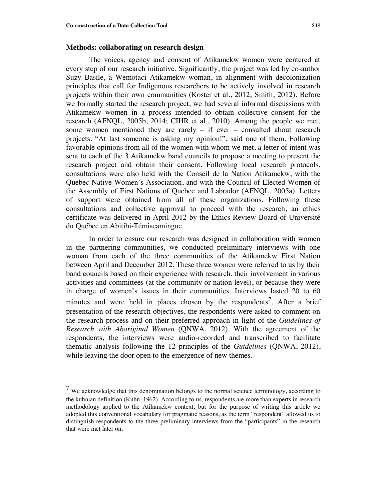l

#### **Methods: collaborating on research design**

The voices, agency and consent of Atikamekw women were centered at every step of our research initiative. Significantly, the project was led by co-author Suzy Basile, a Wemotaci Atikamekw woman, in alignment with decolonization principles that call for Indigenous researchers to be actively involved in research projects within their own communities (Koster et al., 2012; Smith, 2012). Before we formally started the research project, we had several informal discussions with Atikamekw women in a process intended to obtain collective consent for the research (AFNQL, 2005b, 2014; CIHR et al., 2010). Among the people we met, some women mentioned they are rarely  $-$  if ever  $-$  consulted about research projects. "At last someone is asking my opinion!", said one of them. Following favorable opinions from all of the women with whom we met, a letter of intent was sent to each of the 3 Atikamekw band councils to propose a meeting to present the research project and obtain their consent. Following local research protocols, consultations were also held with the Conseil de la Nation Atikamekw, with the Quebec Native Women's Association, and with the Council of Elected Women of the Assembly of First Nations of Quebec and Labrador (AFNQL, 2005a). Letters of support were obtained from all of these organizations. Following these consultations and collective approval to proceed with the research, an ethics certificate was delivered in April 2012 by the Ethics Review Board of Université du Québec en Abitibi-Témiscamingue.

In order to ensure our research was designed in collaboration with women in the partnering communities, we conducted preliminary interviews with one woman from each of the three communities of the Atikamekw First Nation between April and December 2012. These three women were referred to us by their band councils based on their experience with research, their involvement in various activities and committees (at the community or nation level), or because they were in charge of women's issues in their communities. Interviews lasted 20 to 60 minutes and were held in places chosen by the respondents<sup>7</sup>. After a brief presentation of the research objectives, the respondents were asked to comment on the research process and on their preferred approach in light of the *Guidelines of Research with Aboriginal Women* (QNWA, 2012). With the agreement of the respondents, the interviews were audio-recorded and transcribed to facilitate thematic analysis following the 12 principles of the *Guidelines* (QNWA, 2012), while leaving the door open to the emergence of new themes.

<sup>7</sup> We acknowledge that this denomination belongs to the normal science terminology, according to the kuhnian definition (Kuhn, 1962). According to us, respondents are more than experts in research methodology applied to the Atikamekw context, but for the purpose of writing this article we adopted this conventional vocabulary for pragmatic reasons, as the term "respondent" allowed us to distinguish respondents to the three preliminary interviews from the "participants" in the research that were met later on.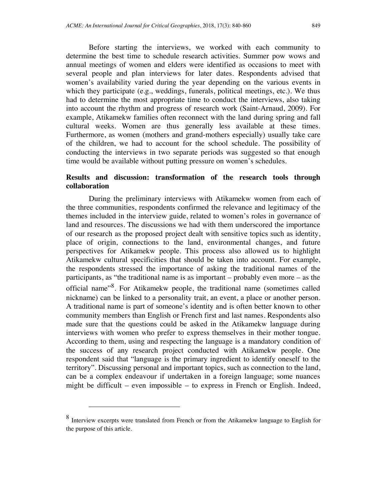Before starting the interviews, we worked with each community to determine the best time to schedule research activities. Summer pow wows and annual meetings of women and elders were identified as occasions to meet with several people and plan interviews for later dates. Respondents advised that women's availability varied during the year depending on the various events in which they participate (e.g., weddings, funerals, political meetings, etc.). We thus had to determine the most appropriate time to conduct the interviews, also taking into account the rhythm and progress of research work (Saint-Arnaud, 2009). For example, Atikamekw families often reconnect with the land during spring and fall cultural weeks. Women are thus generally less available at these times. Furthermore, as women (mothers and grand-mothers especially) usually take care of the children, we had to account for the school schedule. The possibility of conducting the interviews in two separate periods was suggested so that enough time would be available without putting pressure on women's schedules.

### **Results and discussion: transformation of the research tools through collaboration**

During the preliminary interviews with Atikamekw women from each of the three communities, respondents confirmed the relevance and legitimacy of the themes included in the interview guide, related to women's roles in governance of land and resources. The discussions we had with them underscored the importance of our research as the proposed project dealt with sensitive topics such as identity, place of origin, connections to the land, environmental changes, and future perspectives for Atikamekw people. This process also allowed us to highlight Atikamekw cultural specificities that should be taken into account. For example, the respondents stressed the importance of asking the traditional names of the participants, as "the traditional name is as important – probably even more – as the official name<sup>38</sup>. For Atikamekw people, the traditional name (sometimes called nickname) can be linked to a personality trait, an event, a place or another person. A traditional name is part of someone's identity and is often better known to other community members than English or French first and last names. Respondents also made sure that the questions could be asked in the Atikamekw language during interviews with women who prefer to express themselves in their mother tongue. According to them, using and respecting the language is a mandatory condition of the success of any research project conducted with Atikamekw people. One respondent said that "language is the primary ingredient to identify oneself to the territory". Discussing personal and important topics, such as connection to the land, can be a complex endeavour if undertaken in a foreign language; some nuances might be difficult – even impossible – to express in French or English. Indeed,

l

<sup>8</sup> Interview excerpts were translated from French or from the Atikamekw language to English for the purpose of this article.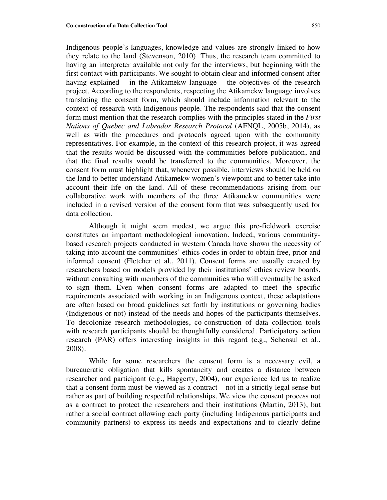Indigenous people's languages, knowledge and values are strongly linked to how they relate to the land (Stevenson, 2010). Thus, the research team committed to having an interpreter available not only for the interviews, but beginning with the first contact with participants. We sought to obtain clear and informed consent after having explained – in the Atikamekw language – the objectives of the research project. According to the respondents, respecting the Atikamekw language involves translating the consent form, which should include information relevant to the context of research with Indigenous people. The respondents said that the consent form must mention that the research complies with the principles stated in the *First Nations of Quebec and Labrador Research Protocol* (AFNQL, 2005b, 2014), as well as with the procedures and protocols agreed upon with the community representatives. For example, in the context of this research project, it was agreed that the results would be discussed with the communities before publication, and that the final results would be transferred to the communities. Moreover, the consent form must highlight that, whenever possible, interviews should be held on the land to better understand Atikamekw women's viewpoint and to better take into account their life on the land. All of these recommendations arising from our collaborative work with members of the three Atikamekw communities were included in a revised version of the consent form that was subsequently used for data collection.

Although it might seem modest, we argue this pre-fieldwork exercise constitutes an important methodological innovation. Indeed, various communitybased research projects conducted in western Canada have shown the necessity of taking into account the communities' ethics codes in order to obtain free, prior and informed consent (Fletcher et al., 2011). Consent forms are usually created by researchers based on models provided by their institutions' ethics review boards, without consulting with members of the communities who will eventually be asked to sign them. Even when consent forms are adapted to meet the specific requirements associated with working in an Indigenous context, these adaptations are often based on broad guidelines set forth by institutions or governing bodies (Indigenous or not) instead of the needs and hopes of the participants themselves. To decolonize research methodologies, co-construction of data collection tools with research participants should be thoughtfully considered. Participatory action research (PAR) offers interesting insights in this regard (e.g., Schensul et al., 2008).

While for some researchers the consent form is a necessary evil, a bureaucratic obligation that kills spontaneity and creates a distance between researcher and participant (e.g., Haggerty, 2004), our experience led us to realize that a consent form must be viewed as a contract – not in a strictly legal sense but rather as part of building respectful relationships. We view the consent process not as a contract to protect the researchers and their institutions (Martin, 2013), but rather a social contract allowing each party (including Indigenous participants and community partners) to express its needs and expectations and to clearly define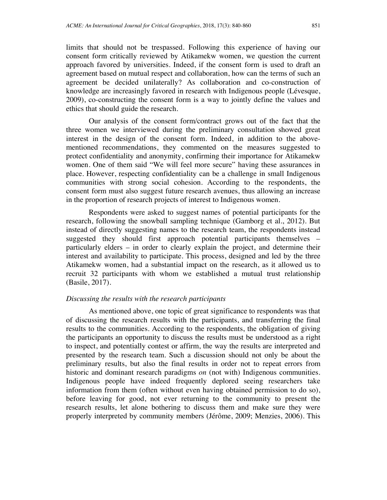limits that should not be trespassed. Following this experience of having our consent form critically reviewed by Atikamekw women, we question the current approach favored by universities. Indeed, if the consent form is used to draft an agreement based on mutual respect and collaboration, how can the terms of such an agreement be decided unilaterally? As collaboration and co-construction of knowledge are increasingly favored in research with Indigenous people (Lévesque, 2009), co-constructing the consent form is a way to jointly define the values and ethics that should guide the research.

Our analysis of the consent form/contract grows out of the fact that the three women we interviewed during the preliminary consultation showed great interest in the design of the consent form. Indeed, in addition to the abovementioned recommendations, they commented on the measures suggested to protect confidentiality and anonymity, confirming their importance for Atikamekw women. One of them said "We will feel more secure" having these assurances in place. However, respecting confidentiality can be a challenge in small Indigenous communities with strong social cohesion. According to the respondents, the consent form must also suggest future research avenues, thus allowing an increase in the proportion of research projects of interest to Indigenous women.

Respondents were asked to suggest names of potential participants for the research, following the snowball sampling technique (Gamborg et al., 2012). But instead of directly suggesting names to the research team, the respondents instead suggested they should first approach potential participants themselves – particularly elders – in order to clearly explain the project, and determine their interest and availability to participate. This process, designed and led by the three Atikamekw women, had a substantial impact on the research, as it allowed us to recruit 32 participants with whom we established a mutual trust relationship (Basile, 2017).

#### *Discussing the results with the research participants*

As mentioned above, one topic of great significance to respondents was that of discussing the research results with the participants, and transferring the final results to the communities. According to the respondents, the obligation of giving the participants an opportunity to discuss the results must be understood as a right to inspect, and potentially contest or affirm, the way the results are interpreted and presented by the research team. Such a discussion should not only be about the preliminary results, but also the final results in order not to repeat errors from historic and dominant research paradigms *on* (not with) Indigenous communities. Indigenous people have indeed frequently deplored seeing researchers take information from them (often without even having obtained permission to do so), before leaving for good, not ever returning to the community to present the research results, let alone bothering to discuss them and make sure they were properly interpreted by community members (Jérôme, 2009; Menzies, 2006). This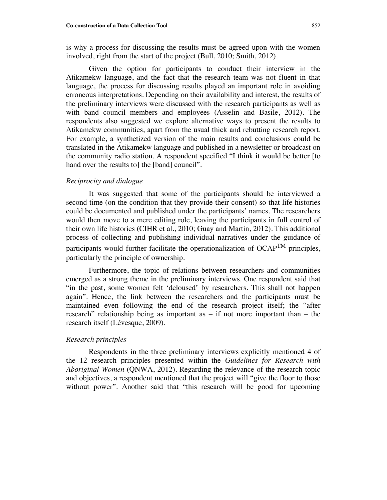is why a process for discussing the results must be agreed upon with the women involved, right from the start of the project (Bull, 2010; Smith, 2012).

Given the option for participants to conduct their interview in the Atikamekw language, and the fact that the research team was not fluent in that language, the process for discussing results played an important role in avoiding erroneous interpretations. Depending on their availability and interest, the results of the preliminary interviews were discussed with the research participants as well as with band council members and employees (Asselin and Basile, 2012). The respondents also suggested we explore alternative ways to present the results to Atikamekw communities, apart from the usual thick and rebutting research report. For example, a synthetized version of the main results and conclusions could be translated in the Atikamekw language and published in a newsletter or broadcast on the community radio station. A respondent specified "I think it would be better [to hand over the results to] the [band] council".

#### *Reciprocity and dialogue*

It was suggested that some of the participants should be interviewed a second time (on the condition that they provide their consent) so that life histories could be documented and published under the participants' names. The researchers would then move to a mere editing role, leaving the participants in full control of their own life histories (CIHR et al., 2010; Guay and Martin, 2012). This additional process of collecting and publishing individual narratives under the guidance of participants would further facilitate the operationalization of  $OCAP^{TM}$  principles, particularly the principle of ownership.

Furthermore, the topic of relations between researchers and communities emerged as a strong theme in the preliminary interviews. One respondent said that "in the past, some women felt 'deloused' by researchers. This shall not happen again". Hence, the link between the researchers and the participants must be maintained even following the end of the research project itself; the "after research" relationship being as important as  $-$  if not more important than  $-$  the research itself (Lévesque, 2009).

#### *Research principles*

Respondents in the three preliminary interviews explicitly mentioned 4 of the 12 research principles presented within the *Guidelines for Research with Aboriginal Women* (QNWA, 2012). Regarding the relevance of the research topic and objectives, a respondent mentioned that the project will "give the floor to those without power". Another said that "this research will be good for upcoming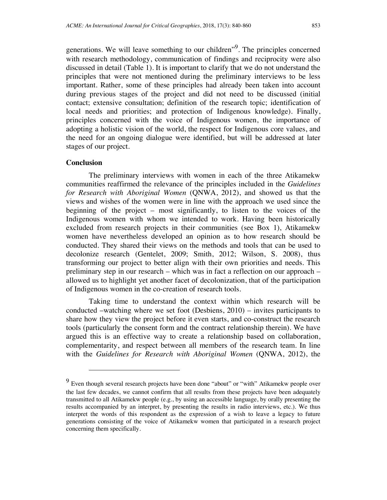generations. We will leave something to our children<sup>"9</sup>. The principles concerned with research methodology, communication of findings and reciprocity were also discussed in detail (Table 1). It is important to clarify that we do not understand the principles that were not mentioned during the preliminary interviews to be less important. Rather, some of these principles had already been taken into account during previous stages of the project and did not need to be discussed (initial contact; extensive consultation; definition of the research topic; identification of local needs and priorities; and protection of Indigenous knowledge). Finally, principles concerned with the voice of Indigenous women, the importance of adopting a holistic vision of the world, the respect for Indigenous core values, and the need for an ongoing dialogue were identified, but will be addressed at later stages of our project.

#### **Conclusion**

 $\overline{a}$ 

The preliminary interviews with women in each of the three Atikamekw communities reaffirmed the relevance of the principles included in the *Guidelines for Research with Aboriginal Women* (QNWA, 2012), and showed us that the views and wishes of the women were in line with the approach we used since the beginning of the project – most significantly, to listen to the voices of the Indigenous women with whom we intended to work. Having been historically excluded from research projects in their communities (see Box 1), Atikamekw women have nevertheless developed an opinion as to how research should be conducted. They shared their views on the methods and tools that can be used to decolonize research (Gentelet, 2009; Smith, 2012; Wilson, S. 2008), thus transforming our project to better align with their own priorities and needs. This preliminary step in our research – which was in fact a reflection on our approach – allowed us to highlight yet another facet of decolonization, that of the participation of Indigenous women in the co-creation of research tools.

Taking time to understand the context within which research will be conducted –watching where we set foot (Desbiens, 2010) – invites participants to share how they view the project before it even starts, and co-construct the research tools (particularly the consent form and the contract relationship therein). We have argued this is an effective way to create a relationship based on collaboration, complementarity, and respect between all members of the research team. In line with the *Guidelines for Research with Aboriginal Women* (QNWA, 2012), the

<sup>9</sup> Even though several research projects have been done "about" or "with" Atikamekw people over the last few decades, we cannot confirm that all results from these projects have been adequately transmitted to all Atikamekw people (e.g., by using an accessible language, by orally presenting the results accompanied by an interpret, by presenting the results in radio interviews, etc.). We thus interpret the words of this respondent as the expression of a wish to leave a legacy to future generations consisting of the voice of Atikamekw women that participated in a research project concerning them specifically.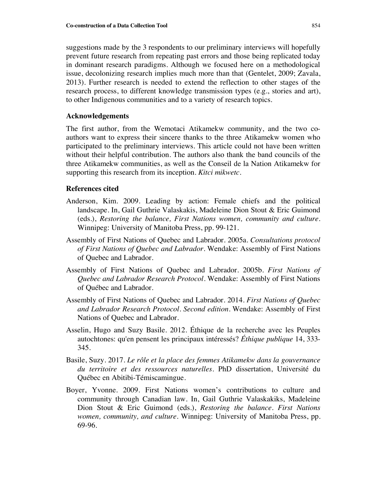suggestions made by the 3 respondents to our preliminary interviews will hopefully prevent future research from repeating past errors and those being replicated today in dominant research paradigms. Although we focused here on a methodological issue, decolonizing research implies much more than that (Gentelet, 2009; Zavala, 2013). Further research is needed to extend the reflection to other stages of the research process, to different knowledge transmission types (e.g., stories and art), to other Indigenous communities and to a variety of research topics.

#### **Acknowledgements**

The first author, from the Wemotaci Atikamekw community, and the two coauthors want to express their sincere thanks to the three Atikamekw women who participated to the preliminary interviews. This article could not have been written without their helpful contribution. The authors also thank the band councils of the three Atikamekw communities, as well as the Conseil de la Nation Atikamekw for supporting this research from its inception. *Kitci mikwetc*.

#### **References cited**

- Anderson, Kim. 2009. Leading by action: Female chiefs and the political landscape. In, Gail Guthrie Valaskakis, Madeleine Dion Stout & Eric Guimond (eds.), *Restoring the balance, First Nations women, community and culture*. Winnipeg: University of Manitoba Press, pp. 99-121.
- Assembly of First Nations of Quebec and Labrador. 2005a. *Consultations protocol of First Nations of Quebec and Labrador*. Wendake: Assembly of First Nations of Quebec and Labrador.
- Assembly of First Nations of Quebec and Labrador. 2005b. *First Nations of Quebec and Labrador Research Protocol*. Wendake: Assembly of First Nations of Québec and Labrador.
- Assembly of First Nations of Quebec and Labrador. 2014. *First Nations of Quebec and Labrador Research Protocol*. *Second edition*. Wendake: Assembly of First Nations of Quebec and Labrador.
- Asselin, Hugo and Suzy Basile. 2012. Éthique de la recherche avec les Peuples autochtones: qu'en pensent les principaux intéressés? *Éthique publique* 14, 333- 345.
- Basile, Suzy. 2017. *Le rôle et la place des femmes Atikamekw dans la gouvernance du territoire et des ressources naturelles*. PhD dissertation, Université du Québec en Abitibi-Témiscamingue.
- Boyer, Yvonne. 2009. First Nations women's contributions to culture and community through Canadian law. In, Gail Guthrie Valaskakiks, Madeleine Dion Stout & Eric Guimond (eds.), *Restoring the balance. First Nations women, community, and culture*. Winnipeg: University of Manitoba Press, pp. 69-96.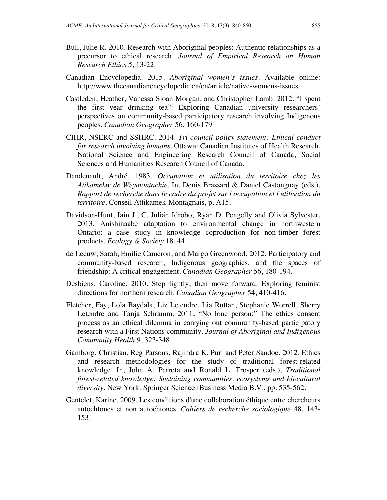- Bull, Julie R. 2010. Research with Aboriginal peoples: Authentic relationships as a precursor to ethical research. *Journal of Empirical Research on Human Research Ethics 5*, 13-22.
- Canadian Encyclopedia. 2015. *Aboriginal women's issues*. Available online: http://www.thecanadianencyclopedia.ca/en/article/native-womens-issues.
- Castleden, Heather, Vanessa Sloan Morgan, and Christopher Lamb. 2012. "I spent the first year drinking tea": Exploring Canadian university researchers' perspectives on community-based participatory research involving Indigenous peoples. *Canadian Geographer* 56, 160-179
- CIHR, NSERC and SSHRC. 2014. *Tri-council policy statement: Ethical conduct for research involving humans*. Ottawa: Canadian Institutes of Health Research, National Science and Engineering Research Council of Canada, Social Sciences and Humanities Research Council of Canada.
- Dandenault, André. 1983. *Occupation et utilisation du territoire chez les Atikamekw de Weymontachie*. In, Denis Brassard & Daniel Castonguay (eds.), *Rapport de recherche dans le cadre du projet sur l'occupation et l'utilisation du territoire*. Conseil Attikamek-Montagnais, p. A15.
- Davidson-Hunt, Iain J., C. Julián Idrobo, Ryan D. Pengelly and Olivia Sylvester. 2013. Anishinaabe adaptation to environmental change in northwestern Ontario: a case study in knowledge coproduction for non-timber forest products. *Ecology & Society* 18, 44.
- de Leeuw, Sarah, Emilie Cameron, and Margo Greenwood. 2012. Participatory and community-based research, Indigenous geographies, and the spaces of friendship: A critical engagement. *Canadian Geographer* 56, 180-194.
- Desbiens, Caroline. 2010. Step lightly, then move forward: Exploring feminist directions for northern research. *Canadian Geographer* 54, 410-416.
- Fletcher, Fay, Lola Baydala, Liz Letendre, Lia Ruttan, Stephanie Worrell, Sherry Letendre and Tanja Schramm. 2011. "No lone person:" The ethics consent process as an ethical dilemma in carrying out community-based participatory research with a First Nations community. *Journal of Aboriginal and Indigenous Community Health* 9, 323-348.
- Gamborg, Christian, Reg Parsons, Rajindra K. Puri and Peter Sandoe. 2012. Ethics and research methodologies for the study of traditional forest-related knowledge. In, John A. Parrota and Ronald L. Trosper (eds.), *Traditional forest-related knowledge: Sustaining communities, ecosystems and biocultural diversity*. New York: Springer Science+Business Media B.V., pp. 535-562.
- Gentelet, Karine. 2009. Les conditions d'une collaboration éthique entre chercheurs autochtones et non autochtones. *Cahiers de recherche sociologique* 48, 143- 153.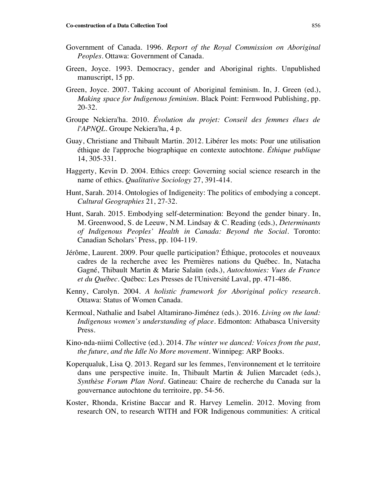- Government of Canada. 1996. *Report of the Royal Commission on Aboriginal Peoples*. Ottawa: Government of Canada.
- Green, Joyce. 1993. Democracy, gender and Aboriginal rights. Unpublished manuscript, 15 pp.
- Green, Joyce. 2007. Taking account of Aboriginal feminism. In, J. Green (ed.), *Making space for Indigenous feminism*. Black Point: Fernwood Publishing, pp. 20-32.
- Groupe Nekiera'ha. 2010. *Évolution du projet: Conseil des femmes élues de l'APNQL*. Groupe Nekiera'ha, 4 p.
- Guay, Christiane and Thibault Martin. 2012. Libérer les mots: Pour une utilisation éthique de l'approche biographique en contexte autochtone. *Éthique publique*  14, 305-331.
- Haggerty, Kevin D. 2004. Ethics creep: Governing social science research in the name of ethics. *Qualitative Sociology* 27, 391-414.
- Hunt, Sarah. 2014. Ontologies of Indigeneity: The politics of embodying a concept. *Cultural Geographies* 21, 27-32.
- Hunt, Sarah. 2015. Embodying self-determination: Beyond the gender binary. In, M. Greenwood, S. de Leeuw, N.M. Lindsay & C. Reading (eds.), *Determinants of Indigenous Peoples' Health in Canada: Beyond the Social*. Toronto: Canadian Scholars*'* Press, pp. 104-119.
- Jérôme, Laurent. 2009. Pour quelle participation? Éthique, protocoles et nouveaux cadres de la recherche avec les Premières nations du Québec. In, Natacha Gagné, Thibault Martin & Marie Salaün (eds.), *Autochtonies: Vues de France et du Québec*. Québec: Les Presses de l'Université Laval, pp. 471-486.
- Kenny, Carolyn. 2004. *A holistic framework for Aboriginal policy research*. Ottawa: Status of Women Canada.
- Kermoal, Nathalie and Isabel Altamirano-Jiménez (eds.). 2016. *Living on the land: Indigenous women's understanding of place*. Edmonton: Athabasca University Press.
- Kino-nda-niimi Collective (ed.). 2014. *The winter we danced: Voices from the past, the future, and the Idle No More movement*. Winnipeg: ARP Books.
- Koperqualuk, Lisa Q. 2013. Regard sur les femmes, l'environnement et le territoire dans une perspective inuite. In, Thibault Martin & Julien Marcadet (eds.), *Synthèse Forum Plan Nord*. Gatineau: Chaire de recherche du Canada sur la gouvernance autochtone du territoire, pp. 54-56.
- Koster, Rhonda, Kristine Baccar and R. Harvey Lemelin. 2012. Moving from research ON, to research WITH and FOR Indigenous communities: A critical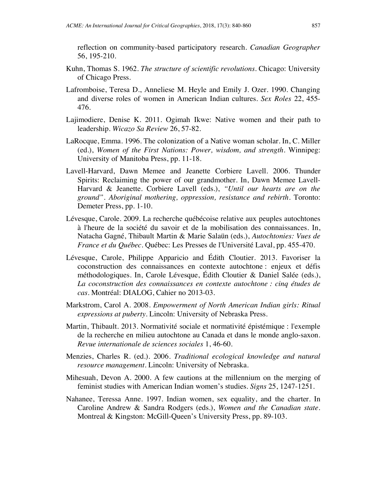reflection on community-based participatory research. *Canadian Geographer*  56, 195-210.

- Kuhn, Thomas S. 1962. *The structure of scientific revolutions*. Chicago: University of Chicago Press.
- Lafromboise, Teresa D., Anneliese M. Heyle and Emily J. Ozer. 1990. Changing and diverse roles of women in American Indian cultures. *Sex Roles* 22, 455- 476.
- Lajimodiere, Denise K. 2011. Ogimah Ikwe: Native women and their path to leadership. *Wicazo Sa Review* 26, 57-82.
- LaRocque, Emma. 1996. The colonization of a Native woman scholar. In, C. Miller (ed.), *Women of the First Nations: Power, wisdom, and strength*. Winnipeg: University of Manitoba Press, pp. 11-18.
- Lavell-Harvard, Dawn Memee and Jeanette Corbiere Lavell. 2006. Thunder Spirits: Reclaiming the power of our grandmother. In, Dawn Memee Lavell-Harvard & Jeanette. Corbiere Lavell (eds.), *"Until our hearts are on the ground". Aboriginal mothering, oppression, resistance and rebirth*. Toronto: Demeter Press, pp. 1-10.
- Lévesque, Carole. 2009. La recherche québécoise relative aux peuples autochtones à l'heure de la société du savoir et de la mobilisation des connaissances. In, Natacha Gagné, Thibault Martin & Marie Salaün (eds.), *Autochtonies: Vues de France et du Québec*. Québec: Les Presses de l'Université Laval, pp. 455-470.
- Lévesque, Carole, Philippe Apparicio and Édith Cloutier. 2013. Favoriser la coconstruction des connaissances en contexte autochtone : enjeux et défis méthodologiques. In, Carole Lévesque, Édith Cloutier & Daniel Salée (eds.), *La coconstruction des connaissances en contexte autochtone : cinq études de cas*. Montréal: DIALOG, Cahier no 2013-03.
- Markstrom, Carol A. 2008. *Empowerment of North American Indian girls: Ritual expressions at puberty*. Lincoln: University of Nebraska Press.
- Martin, Thibault. 2013. Normativité sociale et normativité épistémique : l'exemple de la recherche en milieu autochtone au Canada et dans le monde anglo-saxon. *Revue internationale de sciences sociales* 1, 46-60.
- Menzies, Charles R. (ed.). 2006. *Traditional ecological knowledge and natural resource management*. Lincoln: University of Nebraska.
- Mihesuah, Devon A. 2000. A few cautions at the millennium on the merging of feminist studies with American Indian women's studies. *Signs* 25, 1247-1251.
- Nahanee, Teressa Anne. 1997. Indian women, sex equality, and the charter. In Caroline Andrew & Sandra Rodgers (eds.), *Women and the Canadian state*. Montreal & Kingston: McGill-Queen's University Press, pp. 89-103.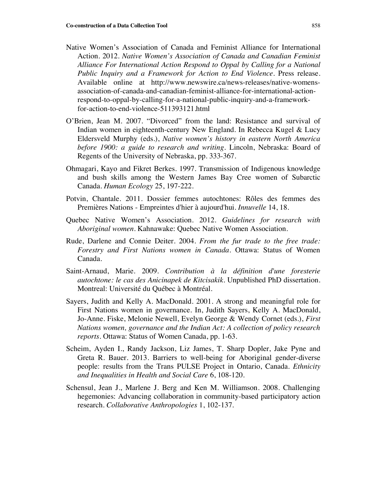- Native Women's Association of Canada and Feminist Alliance for International Action. 2012. *Native Women's Association of Canada and Canadian Feminist Alliance For International Action Respond to Oppal by Calling for a National Public Inquiry and a Framework for Action to End Violence*. Press release. Available online at http://www.newswire.ca/news-releases/native-womensassociation-of-canada-and-canadian-feminist-alliance-for-international-actionrespond-to-oppal-by-calling-for-a-national-public-inquiry-and-a-frameworkfor-action-to-end-violence-511393121.html
- O'Brien, Jean M. 2007. "Divorced" from the land: Resistance and survival of Indian women in eighteenth-century New England. In Rebecca Kugel & Lucy Eldersveld Murphy (eds.), *Native women's history in eastern North America before 1900: a guide to research and writing*. Lincoln, Nebraska: Board of Regents of the University of Nebraska, pp. 333-367.
- Ohmagari, Kayo and Fikret Berkes. 1997. Transmission of Indigenous knowledge and bush skills among the Western James Bay Cree women of Subarctic Canada. *Human Ecology* 25, 197-222.
- Potvin, Chantale. 2011. Dossier femmes autochtones: Rôles des femmes des Premières Nations - Empreintes d'hier à aujourd'hui. *Innuvelle* 14, 18.
- Quebec Native Women's Association. 2012. *Guidelines for research with Aboriginal women*. Kahnawake: Quebec Native Women Association.
- Rude, Darlene and Connie Deiter. 2004. *From the fur trade to the free trade: Forestry and First Nations women in Canada.* Ottawa: Status of Women Canada.
- Saint-Arnaud, Marie. 2009. *Contribution à la définition d'une foresterie autochtone: le cas des Anicinapek de Kitcisakik.* Unpublished PhD dissertation. Montreal: Université du Québec à Montréal.
- Sayers, Judith and Kelly A. MacDonald. 2001. A strong and meaningful role for First Nations women in governance. In, Judith Sayers, Kelly A. MacDonald, Jo-Anne. Fiske, Melonie Newell, Evelyn George & Wendy Cornet (eds.), *First Nations women, governance and the Indian Act: A collection of policy research reports.* Ottawa: Status of Women Canada, pp. 1-63.
- Scheim, Ayden I., Randy Jackson, Liz James, T. Sharp Dopler, Jake Pyne and Greta R. Bauer. 2013. Barriers to well-being for Aboriginal gender-diverse people: results from the Trans PULSE Project in Ontario, Canada. *Ethnicity and Inequalities in Health and Social Care* 6, 108-120.
- Schensul, Jean J., Marlene J. Berg and Ken M. Williamson. 2008. Challenging hegemonies: Advancing collaboration in community-based participatory action research. *Collaborative Anthropologies* 1, 102-137.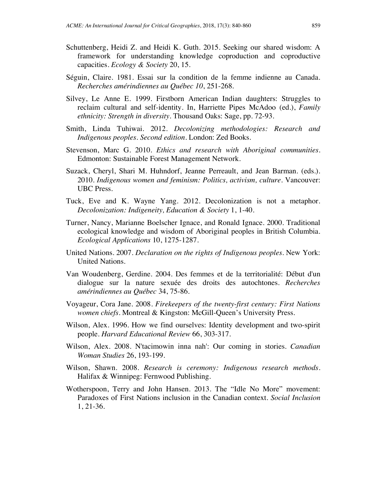- Schuttenberg, Heidi Z. and Heidi K. Guth. 2015. Seeking our shared wisdom: A framework for understanding knowledge coproduction and coproductive capacities. *Ecology & Society* 20, 15.
- Séguin, Claire. 1981. Essai sur la condition de la femme indienne au Canada. *Recherches amérindiennes au Québec 10*, 251-268.
- Silvey, Le Anne E. 1999. Firstborn American Indian daughters: Struggles to reclaim cultural and self-identity. In, Harriette Pipes McAdoo (ed.), *Family ethnicity: Strength in diversity*. Thousand Oaks: Sage, pp. 72-93.
- Smith, Linda Tuhiwai. 2012. *Decolonizing methodologies: Research and Indigenous peoples. Second edition.* London: Zed Books.
- Stevenson, Marc G. 2010. *Ethics and research with Aboriginal communities.* Edmonton: Sustainable Forest Management Network.
- Suzack, Cheryl, Shari M. Huhndorf, Jeanne Perreault, and Jean Barman. (eds.). 2010. *Indigenous women and feminism: Politics, activism, culture*. Vancouver: UBC Press.
- Tuck, Eve and K. Wayne Yang. 2012. Decolonization is not a metaphor. *Decolonization: Indigeneity, Education & Society* 1, 1-40.
- Turner, Nancy, Marianne Boelscher Ignace, and Ronald Ignace. 2000. Traditional ecological knowledge and wisdom of Aboriginal peoples in British Columbia. *Ecological Applications* 10, 1275-1287.
- United Nations. 2007. *Declaration on the rights of Indigenous peoples*. New York: United Nations.
- Van Woudenberg, Gerdine. 2004. Des femmes et de la territorialité: Début d'un dialogue sur la nature sexuée des droits des autochtones. *Recherches amérindiennes au Québec* 34, 75-86.
- Voyageur, Cora Jane. 2008. *Firekeepers of the twenty-first century: First Nations women chiefs*. Montreal & Kingston: McGill-Queen's University Press.
- Wilson, Alex. 1996. How we find ourselves: Identity development and two-spirit people. *Harvard Educational Review* 66, 303-317.
- Wilson, Alex. 2008. N'tacimowin inna nah': Our coming in stories. *Canadian Woman Studies* 26, 193-199.
- Wilson, Shawn. 2008. *Research is ceremony: Indigenous research methods*. Halifax & Winnipeg: Fernwood Publishing.
- Wotherspoon, Terry and John Hansen. 2013. The "Idle No More" movement: Paradoxes of First Nations inclusion in the Canadian context. *Social Inclusion*  1, 21-36.